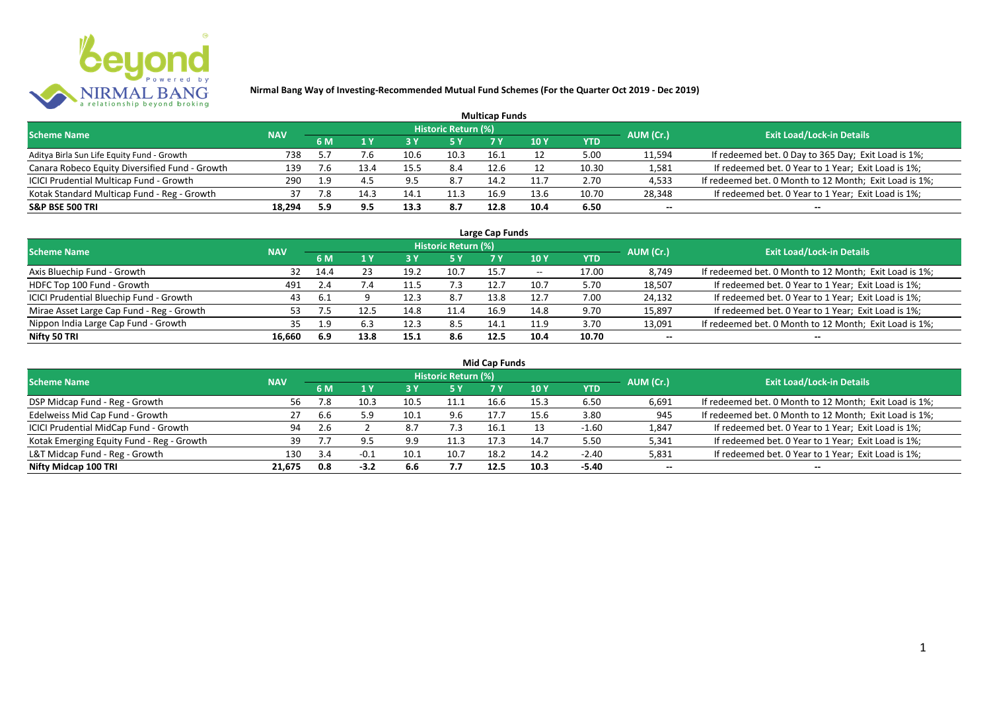

|                                                |            |     |      |      |                            | <b>Multicap Funds</b> |                 |            |           |                                                        |
|------------------------------------------------|------------|-----|------|------|----------------------------|-----------------------|-----------------|------------|-----------|--------------------------------------------------------|
| <b>Scheme Name</b>                             | <b>NAV</b> |     |      |      | <b>Historic Return (%)</b> |                       |                 |            | AUM (Cr.) | <b>Exit Load/Lock-in Details</b>                       |
|                                                |            | 6 M |      | 73 Y |                            |                       | 10 <sub>Y</sub> | <b>YTD</b> |           |                                                        |
| Aditya Birla Sun Life Equity Fund - Growth     | 738        | 5.7 |      | 10.0 | 10.3                       | 16.1                  |                 | 5.00       | 11,594    | If redeemed bet. 0 Day to 365 Day; Exit Load is 1%;    |
| Canara Robeco Equity Diversified Fund - Growth | 139        | 7.6 |      | 15.5 | 8.4                        | 12.6                  |                 | 10.30      | 1,581     | If redeemed bet. 0 Year to 1 Year; Exit Load is 1%;    |
| ICICI Prudential Multicap Fund - Growth        | 290        | 1.9 |      | 9.5  | 8.7                        | 14.2                  | 11.7            | 2.70       | 4,533     | If redeemed bet. 0 Month to 12 Month; Exit Load is 1%; |
| Kotak Standard Multicap Fund - Reg - Growth    | 37         | /.8 | تـ14 | 14.1 | 11.3                       | 16.9                  | 13.6            | 10.70      | 28,348    | If redeemed bet. 0 Year to 1 Year; Exit Load is 1%;    |
| <b>S&amp;P BSE 500 TRI</b>                     | 18,294     | 5.9 |      | 13.3 | 8.7                        | 12.8                  | 10.4            | 6.50       | $- -$     | --                                                     |

| Large Cap Funds                           |            |      |      |      |                            |      |            |       |           |                                                        |  |  |  |
|-------------------------------------------|------------|------|------|------|----------------------------|------|------------|-------|-----------|--------------------------------------------------------|--|--|--|
| <b>Scheme Name</b>                        | <b>NAV</b> |      |      |      | <b>Historic Return (%)</b> |      |            |       | AUM (Cr.) | <b>Exit Load/Lock-in Details</b>                       |  |  |  |
|                                           |            | 6 M  |      |      | 5 Y                        |      | <b>10Y</b> | YTD   |           |                                                        |  |  |  |
| Axis Bluechip Fund - Growth               | 32         | 14.4 |      | 19.2 | 10.7                       | 15.7 | $- -$      | 17.00 | 8,749     | If redeemed bet. 0 Month to 12 Month; Exit Load is 1%; |  |  |  |
| HDFC Top 100 Fund - Growth                | 491        |      | 7.4  |      | 7.3                        | 12.7 | 10.7       | 5.70  | 18,507    | If redeemed bet. 0 Year to 1 Year; Exit Load is 1%;    |  |  |  |
| ICICI Prudential Bluechip Fund - Growth   | 43         | -6.1 |      | 12.3 | 8.7                        | 13.8 | 12.7       | 7.00  | 24,132    | If redeemed bet. 0 Year to 1 Year; Exit Load is 1%;    |  |  |  |
| Mirae Asset Large Cap Fund - Reg - Growth | 53.        |      |      | 14.8 | 11.4                       | 16.9 | 14.8       | 9.70  | 15,897    | If redeemed bet. 0 Year to 1 Year; Exit Load is 1%;    |  |  |  |
| Nippon India Large Cap Fund - Growth      | 35.        | 1 Q  | 6.3  | 12.3 | 8.5                        | 14.1 | 11.9       | 3.70  | 13,091    | If redeemed bet. 0 Month to 12 Month; Exit Load is 1%; |  |  |  |
| Nifty 50 TRI                              | 16.660     | 6.9  | 13.8 | 15.1 | 8.6                        | 12.5 | 10.4       | 10.70 | $- -$     | $- -$                                                  |  |  |  |

| <b>Mid Cap Funds</b>                      |            |     |        |      |                            |      |      |            |           |                                                        |  |  |  |
|-------------------------------------------|------------|-----|--------|------|----------------------------|------|------|------------|-----------|--------------------------------------------------------|--|--|--|
| <b>Scheme Name</b>                        | <b>NAV</b> |     |        |      | <b>Historic Return (%)</b> |      |      |            | AUM (Cr.) | <b>Exit Load/Lock-in Details</b>                       |  |  |  |
|                                           |            | 6 M |        |      | 5 Y                        | 7 Y  | 10 Y | <b>YTD</b> |           |                                                        |  |  |  |
| DSP Midcap Fund - Reg - Growth            | 56         | 7.8 | 10.3   | 10.5 | 11.1                       | 16.6 | 15.3 | 6.50       | 6,691     | If redeemed bet. 0 Month to 12 Month; Exit Load is 1%; |  |  |  |
| Edelweiss Mid Cap Fund - Growth           | 27         | b.b | 5.9    | 10.1 | 9.6                        | 17.7 |      | 3.80       | 945       | If redeemed bet. 0 Month to 12 Month; Exit Load is 1%; |  |  |  |
| ICICI Prudential MidCap Fund - Growth     | 94         |     |        | 8    | 7.3                        | 16.1 |      | $-1.60$    | 1,847     | If redeemed bet. 0 Year to 1 Year; Exit Load is 1%;    |  |  |  |
| Kotak Emerging Equity Fund - Reg - Growth | 39         |     |        | 9.9  | 11.3                       | 17.3 | 14.7 | 5.50       | 5,341     | If redeemed bet. 0 Year to 1 Year; Exit Load is 1%;    |  |  |  |
| L&T Midcap Fund - Reg - Growth            | 130        | 3.4 | -0.1   | 10.1 | 10.7                       | 18.2 | 14.2 | $-2.40$    | 5,831     | If redeemed bet. 0 Year to 1 Year; Exit Load is 1%;    |  |  |  |
| Nifty Midcap 100 TRI                      | 21.675     | 0.8 | $-3.2$ | 6.6  | 7.7                        | 12.5 | 10.3 | -5.40      | $- -$     | $- -$                                                  |  |  |  |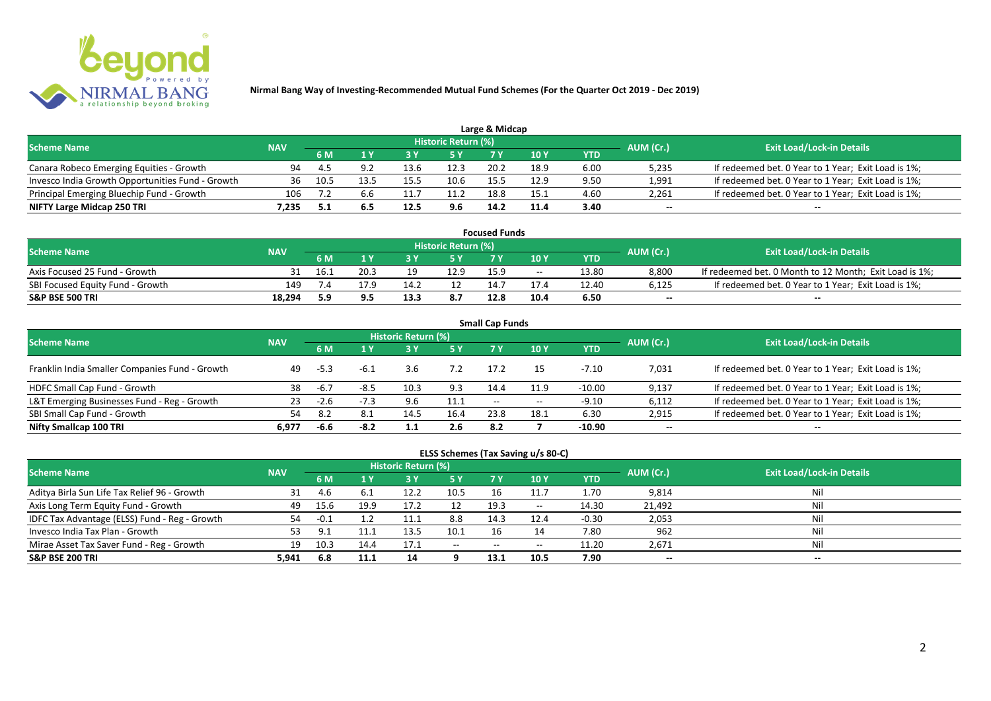

| Large & Midcap                                   |            |      |      |      |                            |      |               |      |           |                                                     |  |  |  |
|--------------------------------------------------|------------|------|------|------|----------------------------|------|---------------|------|-----------|-----------------------------------------------------|--|--|--|
| <b>Scheme Name</b>                               | <b>NAV</b> |      |      |      | <b>Historic Return (%)</b> |      |               |      | AUM (Cr.) | <b>Exit Load/Lock-in Details</b>                    |  |  |  |
|                                                  |            | 6 M  |      |      | 5 Y                        |      | $\sqrt{10}$ Y | YTD  |           |                                                     |  |  |  |
| Canara Robeco Emerging Equities - Growth         | 94         |      |      |      | 12.3                       | 20.2 | 18.9          | 6.00 | 5,235     | If redeemed bet. 0 Year to 1 Year; Exit Load is 1%; |  |  |  |
| Invesco India Growth Opportunities Fund - Growth | 36         | 10.5 | 13.5 | 15.5 |                            | 155  | 12.9          | 9.50 | 1,991     | If redeemed bet. 0 Year to 1 Year; Exit Load is 1%; |  |  |  |
| Principal Emerging Bluechip Fund - Growth        | 106        |      | 6.6  |      | 11.2                       | 18.8 | 15.1          | 4.60 | 2,261     | If redeemed bet. 0 Year to 1 Year; Exit Load is 1%; |  |  |  |
| NIFTY Large Midcap 250 TRI                       | 1.235      |      | b.5  | 12.5 | 9.6                        | 14.2 | 11.4          | 3.40 | $-$       | $- -$                                               |  |  |  |

| <b>Focused Funds</b>             |            |      |      |      |                            |      |       |       |           |                                                        |  |  |
|----------------------------------|------------|------|------|------|----------------------------|------|-------|-------|-----------|--------------------------------------------------------|--|--|
| <b>Scheme Name</b>               | <b>NAV</b> |      |      |      | <b>Historic Return (%)</b> |      |       |       | AUM (Cr.) | <b>Exit Load/Lock-in Details</b>                       |  |  |
|                                  |            | 6 M  | 1 V  |      | 5 Y                        | 7 V  | 10 Y  | YTD   |           |                                                        |  |  |
| Axis Focused 25 Fund - Growth    |            | 16.1 | 20.3 | 19   | 12.9                       | 15.9 | $- -$ | 13.80 | 8.800     | If redeemed bet. 0 Month to 12 Month; Exit Load is 1%; |  |  |
| SBI Focused Equity Fund - Growth | 149        |      | 17.9 | 14.7 |                            | 14.7 | 17.4  | 12.40 | 6,125     | If redeemed bet. 0 Year to 1 Year; Exit Load is 1%;    |  |  |
| <b>S&amp;P BSE 500 TRI</b>       | 18.294     | 5.9  | J.J  | 13.5 | 8.7                        | 12.8 | 10.4  | 6.50  | $- -$     | $- -$                                                  |  |  |

| <b>Small Cap Funds</b>                         |            |        |        |                     |           |                   |            |            |           |                                                     |  |  |  |
|------------------------------------------------|------------|--------|--------|---------------------|-----------|-------------------|------------|------------|-----------|-----------------------------------------------------|--|--|--|
| <b>Scheme Name</b>                             | <b>NAV</b> |        |        | Historic Return (%) |           |                   |            |            | AUM (Cr.) | <b>Exit Load/Lock-in Details</b>                    |  |  |  |
|                                                |            |        |        |                     | <b>5Y</b> | 7 Y               | <b>10Y</b> | <b>YTD</b> |           |                                                     |  |  |  |
| Franklin India Smaller Companies Fund - Growth | 49         | -5.3   | -ხ.ა   | 3.6                 | 7.2       | 17.2              | 15         | $-7.10$    | 7,031     | If redeemed bet. 0 Year to 1 Year; Exit Load is 1%; |  |  |  |
| HDFC Small Cap Fund - Growth                   | 38         | -6.7   | $-8.5$ | 10.3                | 9.3       | 14.4              | 11.9       | $-10.00$   | 9,137     | If redeemed bet. 0 Year to 1 Year; Exit Load is 1%; |  |  |  |
| L&T Emerging Businesses Fund - Reg - Growth    | 23         | $-2.6$ | -1.3   | 9.6                 | 11.1      | $\hspace{0.05cm}$ | $- -$      | $-9.10$    | 6,112     | If redeemed bet. 0 Year to 1 Year; Exit Load is 1%; |  |  |  |
| SBI Small Cap Fund - Growth                    |            | 8.2    | 8.1    | 14.5                | 16.4      | 23.8              | 18.1       | 6.30       | 2,915     | If redeemed bet. 0 Year to 1 Year; Exit Load is 1%; |  |  |  |
| Nifty Smallcap 100 TRI                         | 6.977      | -6.6   | $-8.2$ |                     | 2.6       | 8.2               |            | $-10.90$   | $- -$     | --                                                  |  |  |  |

## **ELSS Schemes (Tax Saving u/s 80-C)**

| <b>Scheme Name</b>                            | <b>NAV</b> |        |      | <b>Historic Return (%)</b> |           |      |            |         | AUM (Cr.) | <b>Exit Load/Lock-in Details</b> |
|-----------------------------------------------|------------|--------|------|----------------------------|-----------|------|------------|---------|-----------|----------------------------------|
|                                               |            | 6 M    |      |                            | <b>5Y</b> | 7 Y  | <b>10Y</b> | YTD     |           |                                  |
| Aditya Birla Sun Life Tax Relief 96 - Growth  | 31         | 4.b    | 6.1  | 12.2                       | 10.5      |      | 11.7       | 1.70    | 9,814     | Nil                              |
| Axis Long Term Equity Fund - Growth           | 49         | 15.6   | 19.9 | 17.2                       | 12        | 19.3 | $- -$      | 14.30   | 21,492    | Nil                              |
| IDFC Tax Advantage (ELSS) Fund - Reg - Growth | 54         | $-0.1$ |      | 11.1                       | 8.8       | 14.3 | 12.4       | $-0.30$ | 2,053     | Nil                              |
| Invesco India Tax Plan - Growth               |            | a.     |      | 13.5                       | 10.1      |      |            | 7.80    | 962       | Nil                              |
| Mirae Asset Tax Saver Fund - Reg - Growth     | 19         | 10.3   | 14.4 | 17.1                       | $  \,$    | $-$  | $- -$      | 11.20   | 2,671     | Nil                              |
| <b>S&amp;P BSE 200 TRI</b>                    | 5.941      | 6.8    | 11.1 |                            |           | 13.1 | 10.5       | 7.90    | $- -$     | $- -$                            |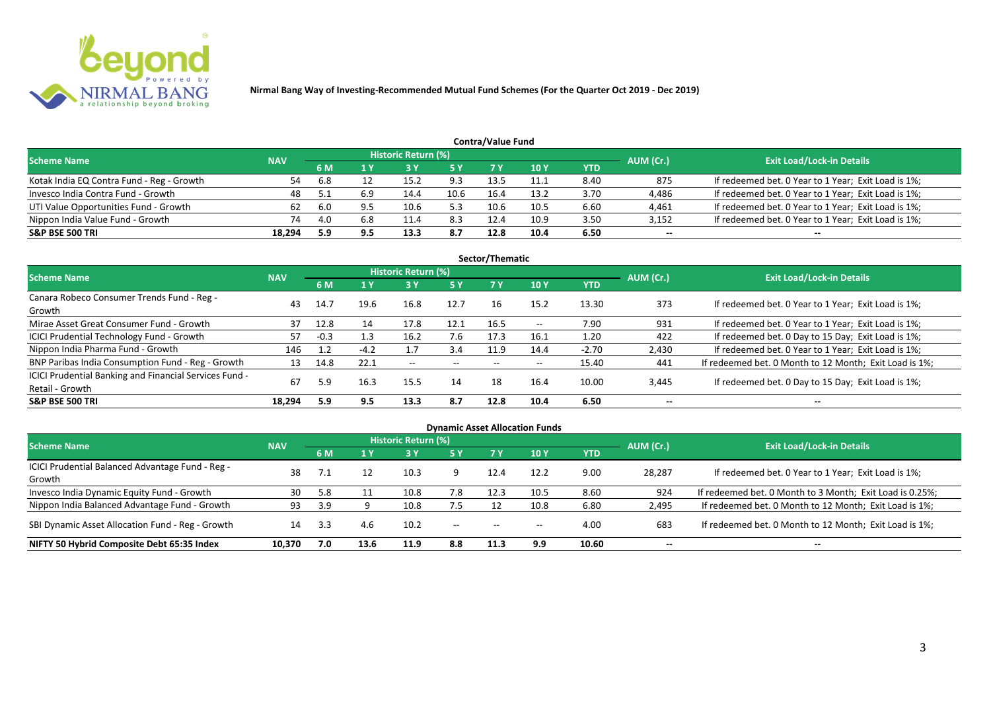

|                                           | <b>Contra/Value Fund</b> |     |     |                     |      |      |      |            |           |                                                     |  |  |  |  |
|-------------------------------------------|--------------------------|-----|-----|---------------------|------|------|------|------------|-----------|-----------------------------------------------------|--|--|--|--|
| <b>Scheme Name</b>                        | <b>NAV</b>               |     |     | Historic Return (%) |      |      |      |            | AUM (Cr.) | <b>Exit Load/Lock-in Details</b>                    |  |  |  |  |
|                                           |                          | 6 M |     |                     | 5 Y  |      | 10Y  | <b>YTD</b> |           |                                                     |  |  |  |  |
| Kotak India EQ Contra Fund - Reg - Growth | 54                       | 6.8 |     | 15.2                | 9.3  | 13.5 | 11.1 | 8.40       | 875       | If redeemed bet. 0 Year to 1 Year; Exit Load is 1%; |  |  |  |  |
| Invesco India Contra Fund - Growth        | 48                       |     | 6.9 | 14.4                | 10.6 | 16.4 | 13.2 | 3.70       | 4,486     | If redeemed bet. 0 Year to 1 Year; Exit Load is 1%; |  |  |  |  |
| UTI Value Opportunities Fund - Growth     | 62                       | 6.0 |     | 10.6                | 5.3  | 10.6 | 10.5 | 6.60       | 4,461     | If redeemed bet. 0 Year to 1 Year; Exit Load is 1%; |  |  |  |  |
| Nippon India Value Fund - Growth          | 74                       | 4.0 | 6.8 | 11.4                | 8.3  | 12.4 | 10.9 | 3.50       | 3,152     | If redeemed bet. 0 Year to 1 Year; Exit Load is 1%; |  |  |  |  |
| <b>S&amp;P BSE 500 TRI</b>                | 18.294                   | 5.9 | 9.5 | 13.3                | 8.7  | 12.8 | 10.4 | 6.50       | $- -$     | $-$                                                 |  |  |  |  |

| Sector/Thematic                                                           |            |        |        |                            |           |      |            |            |           |                                                        |  |  |  |  |
|---------------------------------------------------------------------------|------------|--------|--------|----------------------------|-----------|------|------------|------------|-----------|--------------------------------------------------------|--|--|--|--|
| Scheme Name                                                               | <b>NAV</b> |        |        | <b>Historic Return (%)</b> |           |      |            |            | AUM (Cr.) | <b>Exit Load/Lock-in Details</b>                       |  |  |  |  |
|                                                                           |            | 6 M    | 1Y     | 3 Y                        | <b>5Y</b> | 7 Y  | <b>10Y</b> | <b>YTD</b> |           |                                                        |  |  |  |  |
| Canara Robeco Consumer Trends Fund - Reg -<br>Growth                      | 43         | 14.7   | 19.6   | 16.8                       | 12.7      | 16   | 15.2       | 13.30      | 373       | If redeemed bet. 0 Year to 1 Year; Exit Load is 1%;    |  |  |  |  |
| Mirae Asset Great Consumer Fund - Growth                                  | 37         | 12.8   | 14     | 17.8                       | 12.1      | 16.5 | $- -$      | 7.90       | 931       | If redeemed bet. 0 Year to 1 Year; Exit Load is 1%;    |  |  |  |  |
| <b>ICICI Prudential Technology Fund - Growth</b>                          | 57         | $-0.3$ | 1.3    | 16.2                       | 7.6       | 17.3 | 16.1       | 1.20       | 422       | If redeemed bet. 0 Day to 15 Day; Exit Load is 1%;     |  |  |  |  |
| Nippon India Pharma Fund - Growth                                         | 146        | 1.2    | $-4.2$ |                            | 3.4       | 11.9 | 14.4       | $-2.70$    | 2,430     | If redeemed bet. 0 Year to 1 Year; Exit Load is 1%;    |  |  |  |  |
| BNP Paribas India Consumption Fund - Reg - Growth                         | 13         | 14.8   | 22.1   | $- -$                      | $- -$     | $-$  | $- -$      | 15.40      | 441       | If redeemed bet. 0 Month to 12 Month; Exit Load is 1%; |  |  |  |  |
| ICICI Prudential Banking and Financial Services Fund -<br>Retail - Growth | 67         | 5.9    | 16.3   | 15.5                       | 14        | 18   | 16.4       | 10.00      | 3,445     | If redeemed bet. 0 Day to 15 Day; Exit Load is 1%;     |  |  |  |  |
| <b>S&amp;P BSE 500 TRI</b>                                                | 18.294     | 5.9    | 9.5    | 13.3                       | 8.7       | 12.8 | 10.4       | 6.50       | --        | --                                                     |  |  |  |  |

| <b>Dynamic Asset Allocation Funds</b>                      |            |           |                         |                            |           |                          |                          |            |           |                                                          |  |  |  |
|------------------------------------------------------------|------------|-----------|-------------------------|----------------------------|-----------|--------------------------|--------------------------|------------|-----------|----------------------------------------------------------|--|--|--|
| Scheme Name                                                | <b>NAV</b> |           |                         | <b>Historic Return (%)</b> |           |                          |                          |            | AUM (Cr.) | <b>Exit Load/Lock-in Details</b>                         |  |  |  |
|                                                            |            | <b>6M</b> | $\mathbf{A} \mathbf{V}$ | 3 Y                        | <b>5Y</b> | <b>7Y</b>                | <b>10Y</b>               | <b>YTD</b> |           |                                                          |  |  |  |
| ICICI Prudential Balanced Advantage Fund - Reg -<br>Growth | 38         |           | 12                      | 10.3                       |           | 12.4                     | 12.2                     | 9.00       | 28,287    | If redeemed bet. 0 Year to 1 Year; Exit Load is 1%;      |  |  |  |
| Invesco India Dynamic Equity Fund - Growth                 | 30         | 5.8       |                         | 10.8                       | 7.8       | 12.3                     | 10.5                     | 8.60       | 924       | If redeemed bet. 0 Month to 3 Month; Exit Load is 0.25%; |  |  |  |
| Nippon India Balanced Advantage Fund - Growth              | 93         | 3.9       |                         | 10.8                       | 7.5       |                          | 10.8                     | 6.80       | 2,495     | If redeemed bet. 0 Month to 12 Month; Exit Load is 1%;   |  |  |  |
| SBI Dynamic Asset Allocation Fund - Reg - Growth           | 14         |           | 4.6                     | 10.2                       | $- -$     | $\overline{\phantom{a}}$ | $\overline{\phantom{a}}$ | 4.00       | 683       | If redeemed bet. 0 Month to 12 Month; Exit Load is 1%;   |  |  |  |
| NIFTY 50 Hybrid Composite Debt 65:35 Index                 | 10,370     | 7.0       | 13.6                    | 11.9                       | 8.8       | 11.3                     | 9.9                      | 10.60      | $- -$     | $- -$                                                    |  |  |  |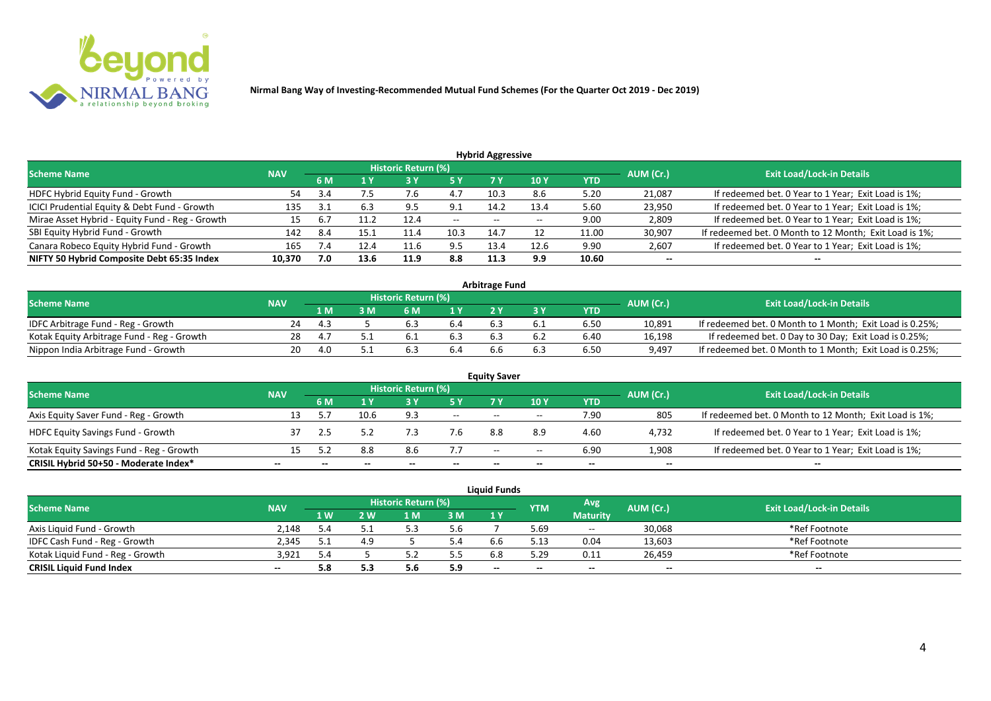

| <b>Hybrid Aggressive</b>                        |            |     |      |                            |               |       |      |            |           |                                                        |  |  |  |  |
|-------------------------------------------------|------------|-----|------|----------------------------|---------------|-------|------|------------|-----------|--------------------------------------------------------|--|--|--|--|
| <b>Scheme Name</b>                              | <b>NAV</b> |     |      | <b>Historic Return (%)</b> |               |       |      |            | AUM (Cr.) | <b>Exit Load/Lock-in Details</b>                       |  |  |  |  |
|                                                 |            | 6 M | 1 Y  | 73 Y                       | <b>5 Y</b>    | 7 Y   | 10 Y | <b>YTD</b> |           |                                                        |  |  |  |  |
| HDFC Hybrid Equity Fund - Growth                | 54         | 3.4 | 7.5  | 7.b                        | 4.7           | 10.3  | 8.6  | 5.20       | 21,087    | If redeemed bet. 0 Year to 1 Year; Exit Load is 1%;    |  |  |  |  |
| ICICI Prudential Equity & Debt Fund - Growth    | 135        | ູຊ  | 6.3  | 9.5                        | 9.1           | 14.2  | 13.4 | 5.60       | 23,950    | If redeemed bet. 0 Year to 1 Year; Exit Load is 1%;    |  |  |  |  |
| Mirae Asset Hybrid - Equity Fund - Reg - Growth | 15         |     |      | 12.4                       | $\sim$ $\sim$ | $- -$ | $-$  | 9.00       | 2,809     | If redeemed bet. 0 Year to 1 Year; Exit Load is 1%;    |  |  |  |  |
| SBI Equity Hybrid Fund - Growth                 | 142        | 8.4 | 15.1 | 11.4                       | 10.3          | 14.7  |      | 11.00      | 30,907    | If redeemed bet. 0 Month to 12 Month; Exit Load is 1%; |  |  |  |  |
| Canara Robeco Equity Hybrid Fund - Growth       | 165        | 7.4 | 12.4 | 11.6                       | 9.5           | 13.4  | 12.6 | 9.90       | 2,607     | If redeemed bet. 0 Year to 1 Year; Exit Load is 1%;    |  |  |  |  |
| NIFTY 50 Hybrid Composite Debt 65:35 Index      | 10,370     | 7.0 | 13.6 | 11.9                       | 8.8           | 11.3  | 9.9  | 10.60      | $- -$     | $- -$                                                  |  |  |  |  |

| <b>Arbitrage Fund</b>                      |            |     |   |                            |     |  |  |            |           |                                                          |  |  |  |
|--------------------------------------------|------------|-----|---|----------------------------|-----|--|--|------------|-----------|----------------------------------------------------------|--|--|--|
| <b>Scheme Name</b>                         | <b>NAV</b> |     |   | <b>Historic Return (%)</b> |     |  |  |            | AUM (Cr.) | <b>Exit Load/Lock-in Details</b>                         |  |  |  |
|                                            |            | 1 M | M | ና M                        | 1 V |  |  | <b>YTD</b> |           |                                                          |  |  |  |
| IDFC Arbitrage Fund - Reg - Growth         | 24         |     |   |                            |     |  |  | 6.50       | 10,891    | If redeemed bet. 0 Month to 1 Month; Exit Load is 0.25%; |  |  |  |
| Kotak Equity Arbitrage Fund - Reg - Growth | 28         |     |   |                            | 6.3 |  |  | 6.40       | 16,198    | If redeemed bet. 0 Day to 30 Day; Exit Load is 0.25%;    |  |  |  |
| Nippon India Arbitrage Fund - Growth       | າດ_        |     |   |                            |     |  |  | 6.50       | 9,497     | If redeemed bet. 0 Month to 1 Month; Exit Load is 0.25%; |  |  |  |

|                                          | <b>Equity Saver</b> |     |      |                     |                          |      |       |            |           |                                                        |  |  |  |  |  |
|------------------------------------------|---------------------|-----|------|---------------------|--------------------------|------|-------|------------|-----------|--------------------------------------------------------|--|--|--|--|--|
| <b>Scheme Name</b>                       | <b>NAV</b>          |     |      | Historic Return (%) |                          |      |       |            | AUM (Cr.) | <b>Exit Load/Lock-in Details</b>                       |  |  |  |  |  |
|                                          |                     | 6 M |      |                     |                          |      | 10Y   | <b>YTD</b> |           |                                                        |  |  |  |  |  |
| Axis Equity Saver Fund - Reg - Growth    |                     |     | 10.6 | 9.3                 | $\overline{\phantom{a}}$ | $-$  | $-$   | 7.90       | 805       | If redeemed bet. 0 Month to 12 Month; Exit Load is 1%; |  |  |  |  |  |
| <b>HDFC Equity Savings Fund - Growth</b> |                     |     |      |                     | 7.6                      | 8.8  |       | 4.60       | 4,732     | If redeemed bet. 0 Year to 1 Year; Exit Load is 1%;    |  |  |  |  |  |
| Kotak Equity Savings Fund - Reg - Growth |                     |     | 8.8  | 8.6                 | 7.7                      | $ -$ | $- -$ | 6.90       | 1,908     | If redeemed bet. 0 Year to 1 Year; Exit Load is 1%;    |  |  |  |  |  |
| CRISIL Hybrid 50+50 - Moderate Index*    | --                  |     |      | --                  | --                       | --   | $- -$ |            | $- -$     | $- -$                                                  |  |  |  |  |  |

| <b>Liquid Funds</b>              |            |            |     |                     |     |     |                                |                 |        |                                  |  |  |  |
|----------------------------------|------------|------------|-----|---------------------|-----|-----|--------------------------------|-----------------|--------|----------------------------------|--|--|--|
| <b>Scheme Name</b>               | <b>NAV</b> |            |     | Historic Return (%) |     |     | Avg<br>AUM (Cr.)<br><b>YTM</b> |                 |        | <b>Exit Load/Lock-in Details</b> |  |  |  |
|                                  |            | <b>1 W</b> | 2 W | 1 M                 | 3M  | 1 Y |                                | <b>Maturity</b> |        |                                  |  |  |  |
| Axis Liquid Fund - Growth        | 2.148      | 5.4        |     |                     | 5.6 |     | 5.69                           | $\sim$          | 30,068 | *Ref Footnote                    |  |  |  |
| IDFC Cash Fund - Reg - Growth    | 2.345      |            |     |                     | 4.د |     |                                | 0.04            | 13,603 | *Ref Footnote                    |  |  |  |
| Kotak Liquid Fund - Reg - Growth | 3.921      | 5.4        |     |                     | 5.5 |     | 5.29                           | 0.11            | 26.459 | *Ref Footnote                    |  |  |  |
| <b>CRISIL Liquid Fund Index</b>  | $- -$      | 5.8        |     | <b></b>             | 5.9 | $-$ |                                | $- -$           | $- -$  | $- -$                            |  |  |  |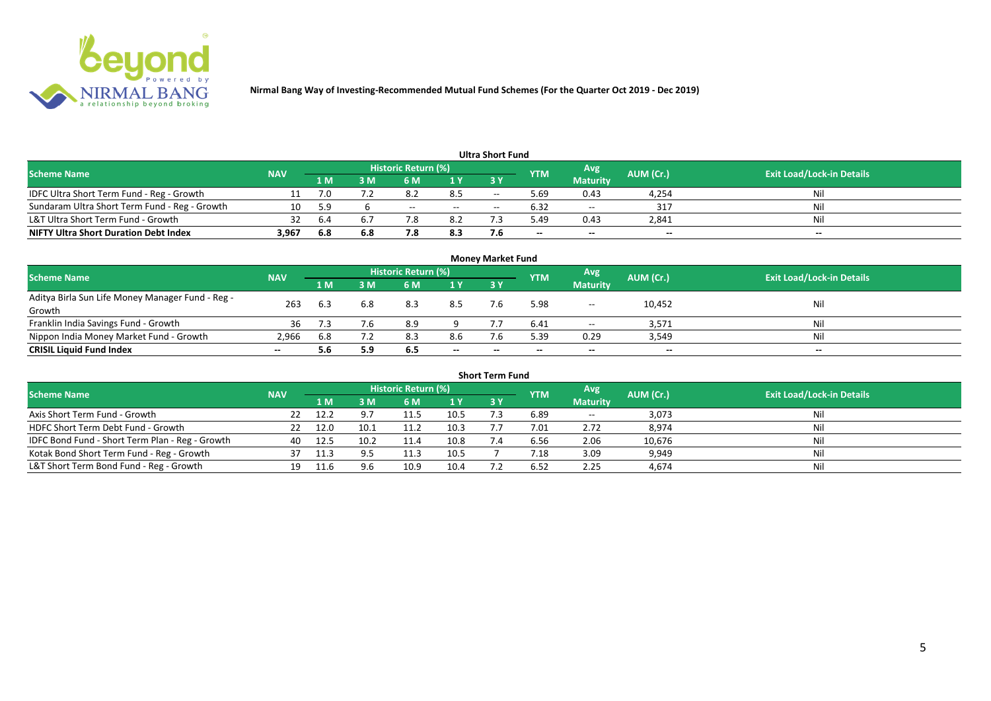

|                                               |            |     |     |                            |        | Ultra Short Fund         |                          |                 |           |                                  |
|-----------------------------------------------|------------|-----|-----|----------------------------|--------|--------------------------|--------------------------|-----------------|-----------|----------------------------------|
| <b>Scheme Name</b>                            | <b>NAV</b> |     |     | <b>Historic Return (%)</b> |        |                          | <b>YTM</b>               | Avg             | AUM (Cr.) | <b>Exit Load/Lock-in Details</b> |
|                                               |            | 1 M | ۱M  | 6 M                        | 1 Y    | 3 Y                      |                          | <b>Maturity</b> |           |                                  |
| IDFC Ultra Short Term Fund - Reg - Growth     |            |     |     |                            | 8.5    | $-$                      | 5.69                     | 0.43            | 4,254     | Nil                              |
| Sundaram Ultra Short Term Fund - Reg - Growth | 10         | 5.9 |     | $- -$                      | $\sim$ | $\overline{\phantom{a}}$ | 6.32                     | $\sim$          | 317       | Nil                              |
| L&T Ultra Short Term Fund - Growth            |            | 6.4 |     |                            | 8.2    |                          | 49ء                      | 0.43            | 2,841     | Nil                              |
| <b>NIFTY Ultra Short Duration Debt Index</b>  | 3.967      | 6.8 | 6.8 | 7.8                        | 8.3    |                          | $\overline{\phantom{a}}$ | $- -$           | $-$       | $- -$                            |

| <b>Money Market Fund</b>                                   |            |     |     |                     |       |           |             |                          |           |                                  |  |  |  |
|------------------------------------------------------------|------------|-----|-----|---------------------|-------|-----------|-------------|--------------------------|-----------|----------------------------------|--|--|--|
| <b>Scheme Name</b>                                         | <b>NAV</b> |     |     | Historic Return (%) |       |           | <b>IYTM</b> | Avg                      | AUM (Cr.) | <b>Exit Load/Lock-in Details</b> |  |  |  |
|                                                            |            | 1 M | I M | 6 M                 | 1Y    | <b>3Y</b> |             | <b>Maturity</b>          |           |                                  |  |  |  |
| Aditya Birla Sun Life Money Manager Fund - Reg -<br>Growth | 263        |     | 6.8 | 8.3                 | 8.5   |           | 5.98        | $- -$                    | 10,452    | Nil                              |  |  |  |
| Franklin India Savings Fund - Growth                       | 36         |     | 7.6 | 8.9                 |       |           | 6.41        | $\overline{\phantom{a}}$ | 3,571     | Nil                              |  |  |  |
| Nippon India Money Market Fund - Growth                    | 2,966      | 6.8 |     | 8.3                 | 8.6   |           | 5.39        | 0.29                     | 3,549     | Nil                              |  |  |  |
| <b>CRISIL Liquid Fund Index</b>                            | $- -$      | 5.6 | 5.9 | 6.5                 | $- -$ | $- -$     | $- -$       | $- -$                    | $- -$     | $- -$                            |  |  |  |

| <b>Short Term Fund</b>                          |            |      |      |                            |      |           |            |                 |           |                                  |  |  |  |  |
|-------------------------------------------------|------------|------|------|----------------------------|------|-----------|------------|-----------------|-----------|----------------------------------|--|--|--|--|
| <b>Scheme Name</b>                              | <b>NAV</b> |      |      | <b>Historic Return (%)</b> |      |           | <b>YTM</b> | Avg             | AUM (Cr.) | <b>Exit Load/Lock-in Details</b> |  |  |  |  |
|                                                 |            | 1 M  | 3 M  | 6 M                        | 1Y   | <b>3Y</b> |            | <b>Maturity</b> |           |                                  |  |  |  |  |
| Axis Short Term Fund - Growth                   | 22         | 12.2 |      | 11.5                       | 10.5 |           | 6.89       | $\sim$          | 3,073     | Nil                              |  |  |  |  |
| HDFC Short Term Debt Fund - Growth              |            | 12.0 | 10.1 | 11.2                       | 10.3 |           | 7.01       | 2.72            | 8,974     | Nil                              |  |  |  |  |
| IDFC Bond Fund - Short Term Plan - Reg - Growth | 40         | 12.5 | 10.2 | 11.4                       | 10.8 |           | 6.56       | 2.06            | 10,676    | Nil                              |  |  |  |  |
| Kotak Bond Short Term Fund - Reg - Growth       |            | 11.3 |      | 11.3                       | 10.5 |           | 7.18       | 3.09            | 9,949     | Nil                              |  |  |  |  |
| L&T Short Term Bond Fund - Reg - Growth         | 19         |      | 9.6  | 10.9                       | 10.4 |           | 6.52       | 2.25            | 4,674     | Nil                              |  |  |  |  |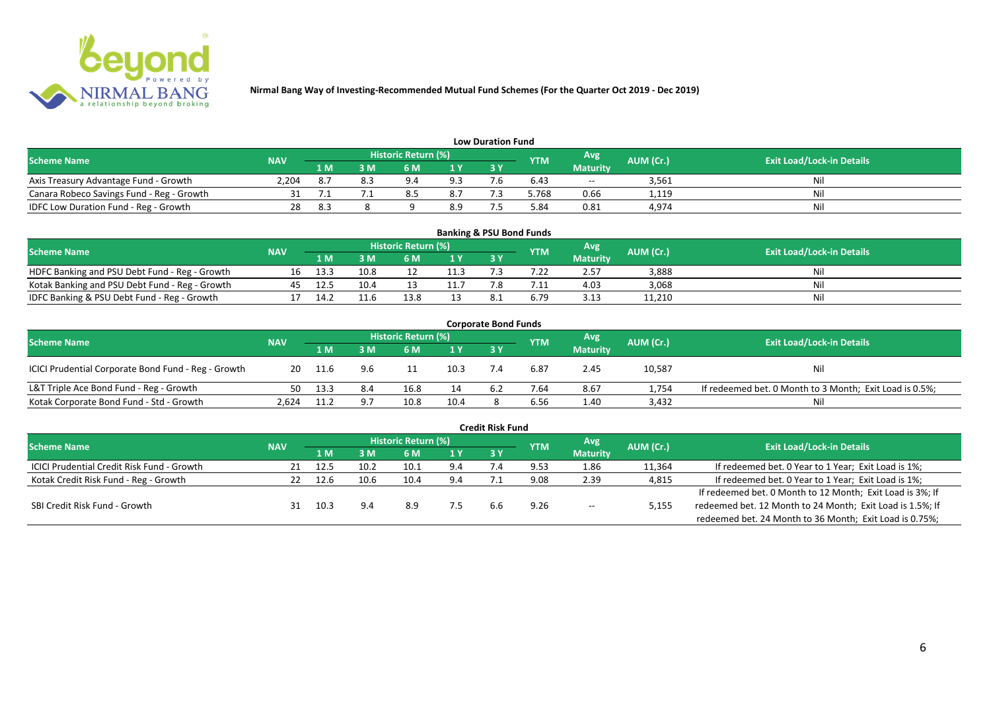

| <b>Low Duration Fund</b>                  |            |     |     |                            |                |     |            |                 |           |                                  |  |  |  |  |
|-------------------------------------------|------------|-----|-----|----------------------------|----------------|-----|------------|-----------------|-----------|----------------------------------|--|--|--|--|
| <b>Scheme Name</b>                        | <b>NAV</b> |     |     | <b>Historic Return (%)</b> |                |     | <b>YTM</b> | Avg             | AUM (Cr.) | <b>Exit Load/Lock-in Details</b> |  |  |  |  |
|                                           |            | 1 M | 3 M |                            | 1 <sub>Y</sub> | 3Y  |            | <b>Maturity</b> |           |                                  |  |  |  |  |
| Axis Treasury Advantage Fund - Growth     | 2.204      |     |     | 9 4                        | 9.3            | - - | 6.43       | $- -$           | 3,561     | Ni                               |  |  |  |  |
| Canara Robeco Savings Fund - Reg - Growth |            |     |     |                            | 8.7            |     | .768 د     | 0.66            | 1,119     | Nil                              |  |  |  |  |
| IDFC Low Duration Fund - Reg - Growth     |            | 8.3 |     |                            | 8.9            |     | 5.84       | 0.81            | 4,974     | Nil                              |  |  |  |  |

| <b>Banking &amp; PSU Bond Funds</b>            |            |      |      |                            |      |           |            |                 |           |                                  |  |  |  |
|------------------------------------------------|------------|------|------|----------------------------|------|-----------|------------|-----------------|-----------|----------------------------------|--|--|--|
| <b>Scheme Name</b>                             | <b>NAV</b> |      |      | <b>Historic Return (%)</b> |      |           | <b>YTM</b> | Avg             | AUM (Cr.) | <b>Exit Load/Lock-in Details</b> |  |  |  |
|                                                |            | 1 M  | . M  | 6 M                        |      | <b>3Y</b> |            | <b>Maturity</b> |           |                                  |  |  |  |
| HDFC Banking and PSU Debt Fund - Reg - Growth  | 16         | 13.3 | 10.8 |                            | 11.3 |           |            | 2.57            | 3,888     | Nil                              |  |  |  |
| Kotak Banking and PSU Debt Fund - Reg - Growth | 45         | 12.5 | 10.4 |                            |      |           |            | 4.03            | 3,068     | Nil                              |  |  |  |
| IDFC Banking & PSU Debt Fund - Reg - Growth    |            | 14.2 |      |                            |      |           | 6.79       | 3.13            | 11,210    | Nil                              |  |  |  |

| <b>Corporate Bond Funds</b>                         |            |      |     |                            |                |     |            |                 |           |                                                         |  |  |  |
|-----------------------------------------------------|------------|------|-----|----------------------------|----------------|-----|------------|-----------------|-----------|---------------------------------------------------------|--|--|--|
| <b>Scheme Name</b>                                  | <b>NAV</b> |      |     | <b>Historic Return (%)</b> |                |     | <b>YTM</b> | Avg             | AUM (Cr.) | <b>Exit Load/Lock-in Details</b>                        |  |  |  |
|                                                     |            | 1 M  | : M | 6 M                        | 1 <sup>Y</sup> | 3 Y |            | <b>Maturity</b> |           |                                                         |  |  |  |
| ICICI Prudential Corporate Bond Fund - Reg - Growth | 20         | 11.6 | 9.6 |                            | 10.3           |     | 6.87       | 2.45            | 10,587    | <b>Nil</b>                                              |  |  |  |
| L&T Triple Ace Bond Fund - Reg - Growth             | 50         | 13.3 | 8.4 | 16.8                       | 14             |     | 7.64       | 8.67            | 1,754     | If redeemed bet. 0 Month to 3 Month; Exit Load is 0.5%; |  |  |  |
| Kotak Corporate Bond Fund - Std - Growth            | 2.624      | 11.2 |     | 10.8                       | 10.4           |     | 6.56       | 1.40            | 3,432     | Nil                                                     |  |  |  |

| <b>Credit Risk Fund</b>                           |            |      |      |                            |     |     |            |                 |           |                                                           |  |  |  |
|---------------------------------------------------|------------|------|------|----------------------------|-----|-----|------------|-----------------|-----------|-----------------------------------------------------------|--|--|--|
| <b>Scheme Name</b>                                | <b>NAV</b> |      |      | <b>Historic Return (%)</b> |     |     | <b>YTM</b> | Avg             | AUM (Cr.) | <b>Exit Load/Lock-in Details</b>                          |  |  |  |
|                                                   |            | 1 M  | 3 M  | 6 M                        | 1 Y | 3 Y |            | <b>Maturity</b> |           |                                                           |  |  |  |
| <b>ICICI Prudential Credit Risk Fund - Growth</b> | 21         | 12.5 | 10.2 | 10.1                       | 9.4 |     | 9.53       | 1.86            | 11,364    | If redeemed bet. 0 Year to 1 Year; Exit Load is 1%;       |  |  |  |
| Kotak Credit Risk Fund - Reg - Growth             |            | 12.6 | 10.6 | 10.4                       | 9.4 |     | 9.08       | 2.39            | 4,815     | If redeemed bet. 0 Year to 1 Year; Exit Load is 1%;       |  |  |  |
|                                                   |            |      |      |                            |     |     |            |                 |           | If redeemed bet. 0 Month to 12 Month; Exit Load is 3%; If |  |  |  |
| SBI Credit Risk Fund - Growth                     |            | 10.3 | 9.4  | 8.9                        |     | h.h | 9.26       | $- -$           | 5,155     | redeemed bet. 12 Month to 24 Month; Exit Load is 1.5%; If |  |  |  |
|                                                   |            |      |      |                            |     |     |            |                 |           | redeemed bet. 24 Month to 36 Month; Exit Load is 0.75%;   |  |  |  |